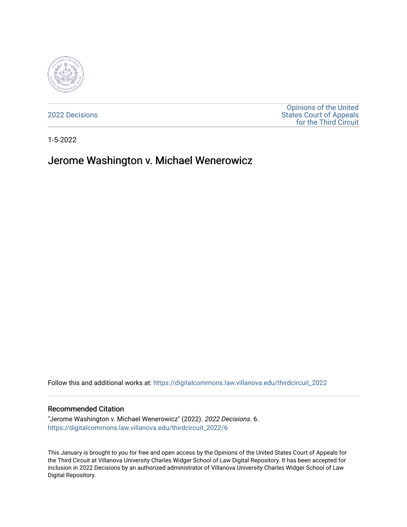

[2022 Decisions](https://digitalcommons.law.villanova.edu/thirdcircuit_2022)

[Opinions of the United](https://digitalcommons.law.villanova.edu/thirdcircuit)  [States Court of Appeals](https://digitalcommons.law.villanova.edu/thirdcircuit)  [for the Third Circuit](https://digitalcommons.law.villanova.edu/thirdcircuit) 

1-5-2022

# Jerome Washington v. Michael Wenerowicz

Follow this and additional works at: [https://digitalcommons.law.villanova.edu/thirdcircuit\\_2022](https://digitalcommons.law.villanova.edu/thirdcircuit_2022?utm_source=digitalcommons.law.villanova.edu%2Fthirdcircuit_2022%2F6&utm_medium=PDF&utm_campaign=PDFCoverPages) 

#### Recommended Citation

"Jerome Washington v. Michael Wenerowicz" (2022). 2022 Decisions. 6. [https://digitalcommons.law.villanova.edu/thirdcircuit\\_2022/6](https://digitalcommons.law.villanova.edu/thirdcircuit_2022/6?utm_source=digitalcommons.law.villanova.edu%2Fthirdcircuit_2022%2F6&utm_medium=PDF&utm_campaign=PDFCoverPages) 

This January is brought to you for free and open access by the Opinions of the United States Court of Appeals for the Third Circuit at Villanova University Charles Widger School of Law Digital Repository. It has been accepted for inclusion in 2022 Decisions by an authorized administrator of Villanova University Charles Widger School of Law Digital Repository.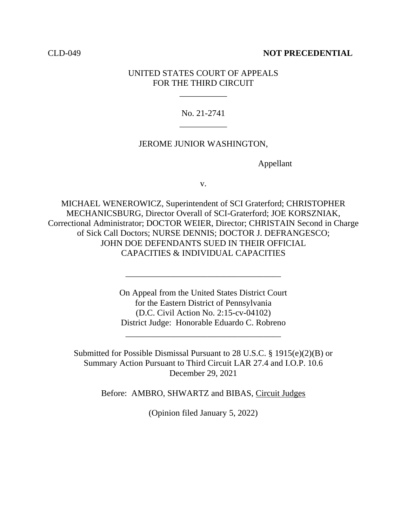## CLD-049 **NOT PRECEDENTIAL**

## UNITED STATES COURT OF APPEALS FOR THE THIRD CIRCUIT

\_\_\_\_\_\_\_\_\_\_\_

No. 21-2741 \_\_\_\_\_\_\_\_\_\_\_

## JEROME JUNIOR WASHINGTON,

Appellant

v.

MICHAEL WENEROWICZ, Superintendent of SCI Graterford; CHRISTOPHER MECHANICSBURG, Director Overall of SCI-Graterford; JOE KORSZNIAK, Correctional Administrator; DOCTOR WEIER, Director; CHRISTAIN Second in Charge of Sick Call Doctors; NURSE DENNIS; DOCTOR J. DEFRANGESCO; JOHN DOE DEFENDANTS SUED IN THEIR OFFICIAL CAPACITIES & INDIVIDUAL CAPACITIES

> On Appeal from the United States District Court for the Eastern District of Pennsylvania (D.C. Civil Action No. 2:15-cv-04102) District Judge: Honorable Eduardo C. Robreno

\_\_\_\_\_\_\_\_\_\_\_\_\_\_\_\_\_\_\_\_\_\_\_\_\_\_\_\_\_\_\_\_\_\_\_\_

\_\_\_\_\_\_\_\_\_\_\_\_\_\_\_\_\_\_\_\_\_\_\_\_\_\_\_\_\_\_\_\_\_\_\_\_

Submitted for Possible Dismissal Pursuant to 28 U.S.C. § 1915(e)(2)(B) or Summary Action Pursuant to Third Circuit LAR 27.4 and I.O.P. 10.6 December 29, 2021

Before: AMBRO, SHWARTZ and BIBAS, Circuit Judges

(Opinion filed January 5, 2022)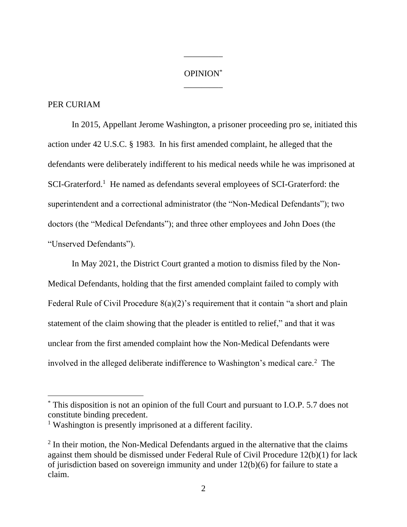## OPINION\* \_\_\_\_\_\_\_\_\_

\_\_\_\_\_\_\_\_\_

## PER CURIAM

In 2015, Appellant Jerome Washington, a prisoner proceeding pro se, initiated this action under 42 U.S.C. § 1983. In his first amended complaint, he alleged that the defendants were deliberately indifferent to his medical needs while he was imprisoned at SCI-Graterford.<sup>1</sup> He named as defendants several employees of SCI-Graterford: the superintendent and a correctional administrator (the "Non-Medical Defendants"); two doctors (the "Medical Defendants"); and three other employees and John Does (the "Unserved Defendants").

In May 2021, the District Court granted a motion to dismiss filed by the Non-Medical Defendants, holding that the first amended complaint failed to comply with Federal Rule of Civil Procedure 8(a)(2)'s requirement that it contain "a short and plain statement of the claim showing that the pleader is entitled to relief," and that it was unclear from the first amended complaint how the Non-Medical Defendants were involved in the alleged deliberate indifference to Washington's medical care.<sup>2</sup> The

<sup>\*</sup> This disposition is not an opinion of the full Court and pursuant to I.O.P. 5.7 does not constitute binding precedent.

<sup>&</sup>lt;sup>1</sup> Washington is presently imprisoned at a different facility.

 $2$  In their motion, the Non-Medical Defendants argued in the alternative that the claims against them should be dismissed under Federal Rule of Civil Procedure 12(b)(1) for lack of jurisdiction based on sovereign immunity and under 12(b)(6) for failure to state a claim.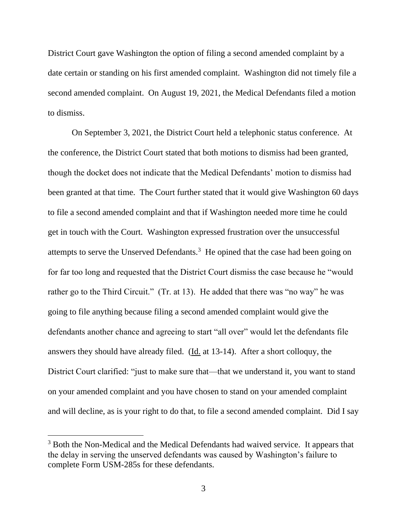District Court gave Washington the option of filing a second amended complaint by a date certain or standing on his first amended complaint. Washington did not timely file a second amended complaint. On August 19, 2021, the Medical Defendants filed a motion to dismiss.

On September 3, 2021, the District Court held a telephonic status conference. At the conference, the District Court stated that both motions to dismiss had been granted, though the docket does not indicate that the Medical Defendants' motion to dismiss had been granted at that time. The Court further stated that it would give Washington 60 days to file a second amended complaint and that if Washington needed more time he could get in touch with the Court. Washington expressed frustration over the unsuccessful attempts to serve the Unserved Defendants.<sup>3</sup> He opined that the case had been going on for far too long and requested that the District Court dismiss the case because he "would rather go to the Third Circuit." (Tr. at 13). He added that there was "no way" he was going to file anything because filing a second amended complaint would give the defendants another chance and agreeing to start "all over" would let the defendants file answers they should have already filed. (Id. at 13-14). After a short colloquy, the District Court clarified: "just to make sure that—that we understand it, you want to stand on your amended complaint and you have chosen to stand on your amended complaint and will decline, as is your right to do that, to file a second amended complaint. Did I say

<sup>&</sup>lt;sup>3</sup> Both the Non-Medical and the Medical Defendants had waived service. It appears that the delay in serving the unserved defendants was caused by Washington's failure to complete Form USM-285s for these defendants.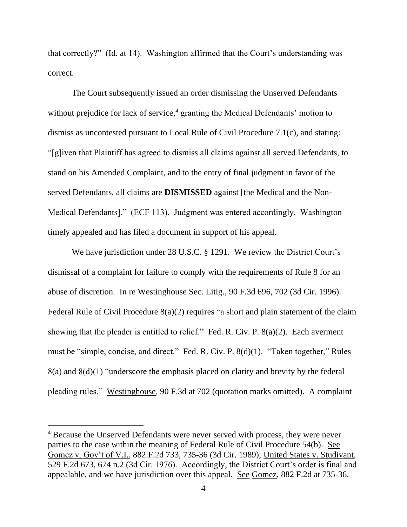that correctly?" (Id. at 14). Washington affirmed that the Court's understanding was correct.

The Court subsequently issued an order dismissing the Unserved Defendants without prejudice for lack of service,<sup>4</sup> granting the Medical Defendants' motion to dismiss as uncontested pursuant to Local Rule of Civil Procedure 7.1(c), and stating: "[g]iven that Plaintiff has agreed to dismiss all claims against all served Defendants, to stand on his Amended Complaint, and to the entry of final judgment in favor of the served Defendants, all claims are **DISMISSED** against [the Medical and the Non-Medical Defendants]." (ECF 113). Judgment was entered accordingly. Washington timely appealed and has filed a document in support of his appeal.

We have jurisdiction under 28 U.S.C. § 1291. We review the District Court's dismissal of a complaint for failure to comply with the requirements of Rule 8 for an abuse of discretion. In re Westinghouse Sec. Litig., 90 F.3d 696, 702 (3d Cir. 1996). Federal Rule of Civil Procedure 8(a)(2) requires "a short and plain statement of the claim showing that the pleader is entitled to relief." Fed. R. Civ. P. 8(a)(2). Each averment must be "simple, concise, and direct." Fed. R. Civ. P. 8(d)(1). "Taken together," Rules  $8(a)$  and  $8(d)(1)$  "underscore the emphasis placed on clarity and brevity by the federal pleading rules." Westinghouse, 90 F.3d at 702 (quotation marks omitted). A complaint

<sup>&</sup>lt;sup>4</sup> Because the Unserved Defendants were never served with process, they were never parties to the case within the meaning of Federal Rule of Civil Procedure 54(b). See Gomez v. Gov't of V.I., 882 F.2d 733, 735-36 (3d Cir. 1989); United States v. Studivant, 529 F.2d 673, 674 n.2 (3d Cir. 1976). Accordingly, the District Court's order is final and appealable, and we have jurisdiction over this appeal. See Gomez, 882 F.2d at 735-36.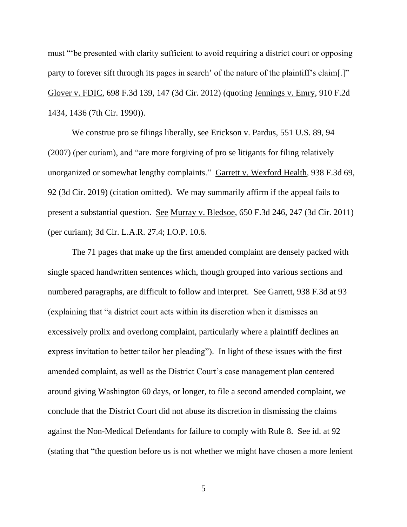must "'be presented with clarity sufficient to avoid requiring a district court or opposing party to forever sift through its pages in search' of the nature of the plaintiff's claim[.]" Glover v. FDIC, 698 F.3d 139, 147 (3d Cir. 2012) (quoting Jennings v. Emry, 910 F.2d 1434, 1436 (7th Cir. 1990)).

We construe pro se filings liberally, see Erickson v. Pardus, 551 U.S. 89, 94 (2007) (per curiam), and "are more forgiving of pro se litigants for filing relatively unorganized or somewhat lengthy complaints." Garrett v. Wexford Health, 938 F.3d 69, 92 (3d Cir. 2019) (citation omitted). We may summarily affirm if the appeal fails to present a substantial question. See Murray v. Bledsoe, 650 F.3d 246, 247 (3d Cir. 2011) (per curiam); 3d Cir. L.A.R. 27.4; I.O.P. 10.6.

The 71 pages that make up the first amended complaint are densely packed with single spaced handwritten sentences which, though grouped into various sections and numbered paragraphs, are difficult to follow and interpret. <u>See Garrett</u>, 938 F.3d at 93 (explaining that "a district court acts within its discretion when it dismisses an excessively prolix and overlong complaint, particularly where a plaintiff declines an express invitation to better tailor her pleading"). In light of these issues with the first amended complaint, as well as the District Court's case management plan centered around giving Washington 60 days, or longer, to file a second amended complaint, we conclude that the District Court did not abuse its discretion in dismissing the claims against the Non-Medical Defendants for failure to comply with Rule 8. See id. at 92 (stating that "the question before us is not whether we might have chosen a more lenient

5